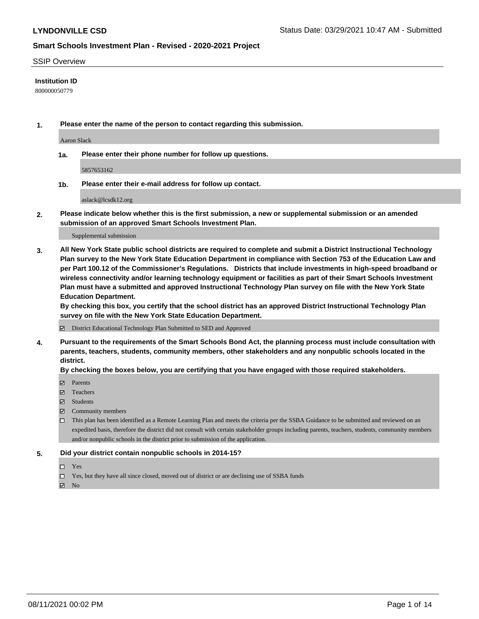#### SSIP Overview

### **Institution ID**

800000050779

**1. Please enter the name of the person to contact regarding this submission.**

Aaron Slack

**1a. Please enter their phone number for follow up questions.**

5857653162

**1b. Please enter their e-mail address for follow up contact.**

aslack@lcsdk12.org

**2. Please indicate below whether this is the first submission, a new or supplemental submission or an amended submission of an approved Smart Schools Investment Plan.**

#### Supplemental submission

**3. All New York State public school districts are required to complete and submit a District Instructional Technology Plan survey to the New York State Education Department in compliance with Section 753 of the Education Law and per Part 100.12 of the Commissioner's Regulations. Districts that include investments in high-speed broadband or wireless connectivity and/or learning technology equipment or facilities as part of their Smart Schools Investment Plan must have a submitted and approved Instructional Technology Plan survey on file with the New York State Education Department.** 

**By checking this box, you certify that the school district has an approved District Instructional Technology Plan survey on file with the New York State Education Department.**

District Educational Technology Plan Submitted to SED and Approved

**4. Pursuant to the requirements of the Smart Schools Bond Act, the planning process must include consultation with parents, teachers, students, community members, other stakeholders and any nonpublic schools located in the district.** 

#### **By checking the boxes below, you are certifying that you have engaged with those required stakeholders.**

- **Parents**
- Teachers
- Students
- $\boxtimes$  Community members
- This plan has been identified as a Remote Learning Plan and meets the criteria per the SSBA Guidance to be submitted and reviewed on an expedited basis, therefore the district did not consult with certain stakeholder groups including parents, teachers, students, community members and/or nonpublic schools in the district prior to submission of the application.
- **5. Did your district contain nonpublic schools in 2014-15?**
	- □ Yes
	- □ Yes, but they have all since closed, moved out of district or are declining use of SSBA funds

 $M$  No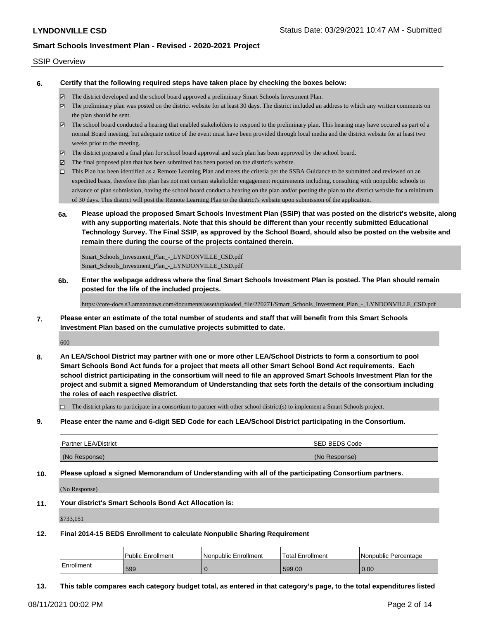#### SSIP Overview

**6. Certify that the following required steps have taken place by checking the boxes below:**

- The district developed and the school board approved a preliminary Smart Schools Investment Plan.
- The preliminary plan was posted on the district website for at least 30 days. The district included an address to which any written comments on the plan should be sent.
- $\boxtimes$  The school board conducted a hearing that enabled stakeholders to respond to the preliminary plan. This hearing may have occured as part of a normal Board meeting, but adequate notice of the event must have been provided through local media and the district website for at least two weeks prior to the meeting.
- The district prepared a final plan for school board approval and such plan has been approved by the school board.
- $\boxtimes$  The final proposed plan that has been submitted has been posted on the district's website.
- This Plan has been identified as a Remote Learning Plan and meets the criteria per the SSBA Guidance to be submitted and reviewed on an expedited basis, therefore this plan has not met certain stakeholder engagement requirements including, consulting with nonpublic schools in advance of plan submission, having the school board conduct a hearing on the plan and/or posting the plan to the district website for a minimum of 30 days. This district will post the Remote Learning Plan to the district's website upon submission of the application.
- **6a. Please upload the proposed Smart Schools Investment Plan (SSIP) that was posted on the district's website, along with any supporting materials. Note that this should be different than your recently submitted Educational Technology Survey. The Final SSIP, as approved by the School Board, should also be posted on the website and remain there during the course of the projects contained therein.**

Smart\_Schools\_Investment\_Plan\_-\_LYNDONVILLE\_CSD.pdf Smart\_Schools\_Investment\_Plan\_-\_LYNDONVILLE\_CSD.pdf

**6b. Enter the webpage address where the final Smart Schools Investment Plan is posted. The Plan should remain posted for the life of the included projects.**

https://core-docs.s3.amazonaws.com/documents/asset/uploaded\_file/270271/Smart\_Schools\_Investment\_Plan\_-\_LYNDONVILLE\_CSD.pdf

**7. Please enter an estimate of the total number of students and staff that will benefit from this Smart Schools Investment Plan based on the cumulative projects submitted to date.**

600

**8. An LEA/School District may partner with one or more other LEA/School Districts to form a consortium to pool Smart Schools Bond Act funds for a project that meets all other Smart School Bond Act requirements. Each school district participating in the consortium will need to file an approved Smart Schools Investment Plan for the project and submit a signed Memorandum of Understanding that sets forth the details of the consortium including the roles of each respective district.**

 $\Box$  The district plans to participate in a consortium to partner with other school district(s) to implement a Smart Schools project.

**9. Please enter the name and 6-digit SED Code for each LEA/School District participating in the Consortium.**

| <b>Partner LEA/District</b> | <b>ISED BEDS Code</b> |
|-----------------------------|-----------------------|
| (No Response)               | (No Response)         |

**10. Please upload a signed Memorandum of Understanding with all of the participating Consortium partners.**

(No Response)

**11. Your district's Smart Schools Bond Act Allocation is:**

\$733,151

**12. Final 2014-15 BEDS Enrollment to calculate Nonpublic Sharing Requirement**

|            | Public Enrollment | Nonpublic Enrollment | 'Total Enrollment | l Nonpublic Percentage |
|------------|-------------------|----------------------|-------------------|------------------------|
| Enrollment | 599               |                      | 599.00            | 0.00                   |

**13. This table compares each category budget total, as entered in that category's page, to the total expenditures listed**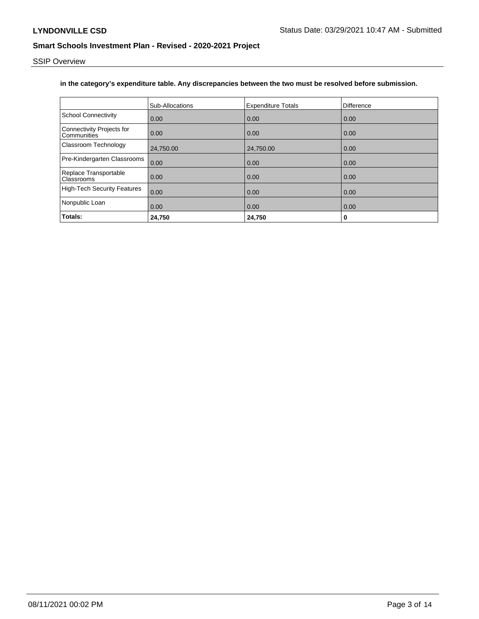SSIP Overview

## **in the category's expenditure table. Any discrepancies between the two must be resolved before submission.**

|                                          | <b>Sub-Allocations</b> | <b>Expenditure Totals</b> | Difference |
|------------------------------------------|------------------------|---------------------------|------------|
| <b>School Connectivity</b>               | 0.00                   | 0.00                      | 0.00       |
| Connectivity Projects for<br>Communities | 0.00                   | 0.00                      | 0.00       |
| Classroom Technology                     | 24,750.00              | 24,750.00                 | 0.00       |
| Pre-Kindergarten Classrooms              | 0.00                   | 0.00                      | 0.00       |
| Replace Transportable<br>Classrooms      | 0.00                   | 0.00                      | 0.00       |
| <b>High-Tech Security Features</b>       | 0.00                   | 0.00                      | 0.00       |
| Nonpublic Loan                           | 0.00                   | 0.00                      | 0.00       |
| Totals:                                  | 24,750                 | 24,750                    | 0          |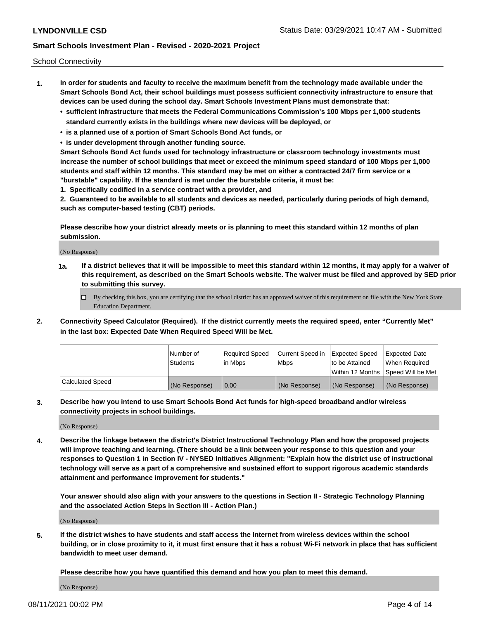School Connectivity

- **1. In order for students and faculty to receive the maximum benefit from the technology made available under the Smart Schools Bond Act, their school buildings must possess sufficient connectivity infrastructure to ensure that devices can be used during the school day. Smart Schools Investment Plans must demonstrate that:**
	- **• sufficient infrastructure that meets the Federal Communications Commission's 100 Mbps per 1,000 students standard currently exists in the buildings where new devices will be deployed, or**
	- **• is a planned use of a portion of Smart Schools Bond Act funds, or**
	- **• is under development through another funding source.**

**Smart Schools Bond Act funds used for technology infrastructure or classroom technology investments must increase the number of school buildings that meet or exceed the minimum speed standard of 100 Mbps per 1,000 students and staff within 12 months. This standard may be met on either a contracted 24/7 firm service or a "burstable" capability. If the standard is met under the burstable criteria, it must be:**

**1. Specifically codified in a service contract with a provider, and**

**2. Guaranteed to be available to all students and devices as needed, particularly during periods of high demand, such as computer-based testing (CBT) periods.**

**Please describe how your district already meets or is planning to meet this standard within 12 months of plan submission.**

(No Response)

**1a. If a district believes that it will be impossible to meet this standard within 12 months, it may apply for a waiver of this requirement, as described on the Smart Schools website. The waiver must be filed and approved by SED prior to submitting this survey.**

 $\Box$  By checking this box, you are certifying that the school district has an approved waiver of this requirement on file with the New York State Education Department.

**2. Connectivity Speed Calculator (Required). If the district currently meets the required speed, enter "Currently Met" in the last box: Expected Date When Required Speed Will be Met.**

|                  | l Number of     | Required Speed | Current Speed in | Expected Speed  | Expected Date                           |
|------------------|-----------------|----------------|------------------|-----------------|-----------------------------------------|
|                  | <b>Students</b> | In Mbps        | l Mbps           | to be Attained  | When Required                           |
|                  |                 |                |                  |                 | l Within 12 Months ISpeed Will be Met l |
| Calculated Speed | (No Response)   | 0.00           | (No Response)    | l (No Response) | l (No Response)                         |

**3. Describe how you intend to use Smart Schools Bond Act funds for high-speed broadband and/or wireless connectivity projects in school buildings.**

(No Response)

**4. Describe the linkage between the district's District Instructional Technology Plan and how the proposed projects will improve teaching and learning. (There should be a link between your response to this question and your responses to Question 1 in Section IV - NYSED Initiatives Alignment: "Explain how the district use of instructional technology will serve as a part of a comprehensive and sustained effort to support rigorous academic standards attainment and performance improvement for students."** 

**Your answer should also align with your answers to the questions in Section II - Strategic Technology Planning and the associated Action Steps in Section III - Action Plan.)**

(No Response)

**5. If the district wishes to have students and staff access the Internet from wireless devices within the school building, or in close proximity to it, it must first ensure that it has a robust Wi-Fi network in place that has sufficient bandwidth to meet user demand.**

**Please describe how you have quantified this demand and how you plan to meet this demand.**

(No Response)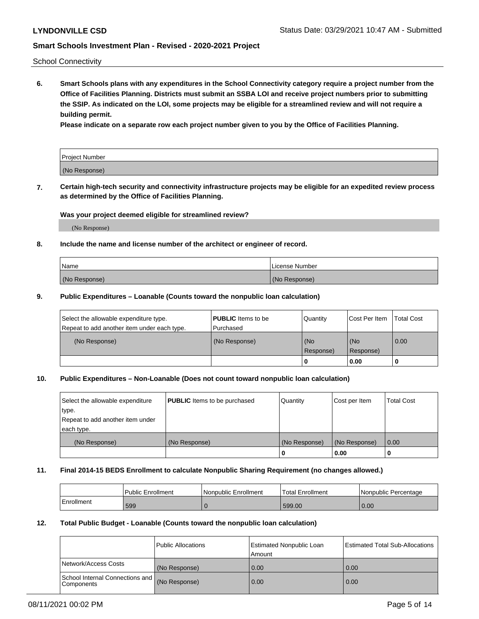School Connectivity

**6. Smart Schools plans with any expenditures in the School Connectivity category require a project number from the Office of Facilities Planning. Districts must submit an SSBA LOI and receive project numbers prior to submitting the SSIP. As indicated on the LOI, some projects may be eligible for a streamlined review and will not require a building permit.**

**Please indicate on a separate row each project number given to you by the Office of Facilities Planning.**

| Project Number |  |
|----------------|--|
| (No Response)  |  |

**7. Certain high-tech security and connectivity infrastructure projects may be eligible for an expedited review process as determined by the Office of Facilities Planning.**

## **Was your project deemed eligible for streamlined review?**

(No Response)

## **8. Include the name and license number of the architect or engineer of record.**

| Name          | License Number |
|---------------|----------------|
| (No Response) | (No Response)  |

### **9. Public Expenditures – Loanable (Counts toward the nonpublic loan calculation)**

| Select the allowable expenditure type.<br>Repeat to add another item under each type. | <b>PUBLIC</b> Items to be<br>l Purchased | Quantity           | Cost Per Item    | <b>Total Cost</b> |
|---------------------------------------------------------------------------------------|------------------------------------------|--------------------|------------------|-------------------|
| (No Response)                                                                         | (No Response)                            | l (No<br>Response) | (No<br>Response) | $\overline{0.00}$ |
|                                                                                       |                                          | O                  | 0.00             |                   |

## **10. Public Expenditures – Non-Loanable (Does not count toward nonpublic loan calculation)**

| Select the allowable expenditure<br>type.<br>Repeat to add another item under<br>each type. | <b>PUBLIC</b> Items to be purchased | Quantity      | Cost per Item | <b>Total Cost</b> |
|---------------------------------------------------------------------------------------------|-------------------------------------|---------------|---------------|-------------------|
| (No Response)                                                                               | (No Response)                       | (No Response) | (No Response) | 0.00              |
|                                                                                             |                                     |               | 0.00          |                   |

#### **11. Final 2014-15 BEDS Enrollment to calculate Nonpublic Sharing Requirement (no changes allowed.)**

|            | l Public Enrollment | Nonpublic Enrollment | Total Enrollment | l Nonpublic Percentage |
|------------|---------------------|----------------------|------------------|------------------------|
| Enrollment | 599                 |                      | 599.00           | 0.00                   |

### **12. Total Public Budget - Loanable (Counts toward the nonpublic loan calculation)**

|                                                      | Public Allocations | <b>Estimated Nonpublic Loan</b><br>Amount | Estimated Total Sub-Allocations |
|------------------------------------------------------|--------------------|-------------------------------------------|---------------------------------|
| Network/Access Costs                                 | (No Response)      | 0.00                                      | 0.00                            |
| School Internal Connections and<br><b>Components</b> | (No Response)      | 0.00                                      | 0.00                            |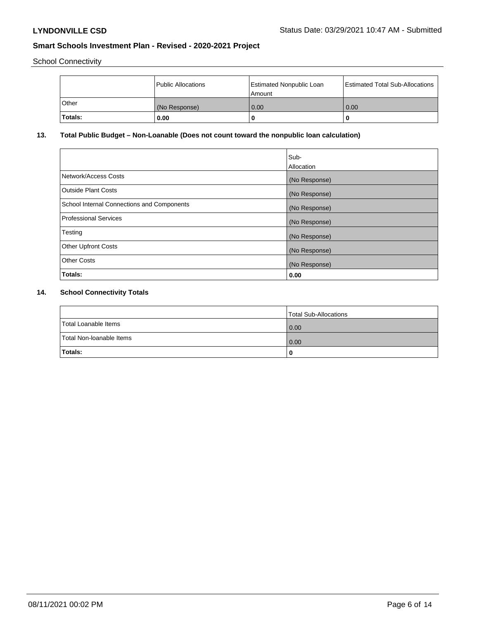School Connectivity

|         | Public Allocations | <b>Estimated Nonpublic Loan</b><br>l Amount | Estimated Total Sub-Allocations |
|---------|--------------------|---------------------------------------------|---------------------------------|
| l Other | (No Response)      | 0.00                                        | 0.00                            |
| Totals: | 0.00               | 0                                           |                                 |

# **13. Total Public Budget – Non-Loanable (Does not count toward the nonpublic loan calculation)**

| Sub-<br>Allocation |
|--------------------|
| (No Response)      |
| (No Response)      |
| (No Response)      |
| (No Response)      |
| (No Response)      |
| (No Response)      |
| (No Response)      |
| 0.00               |
|                    |

# **14. School Connectivity Totals**

|                          | Total Sub-Allocations |
|--------------------------|-----------------------|
| Total Loanable Items     | $\overline{0.00}$     |
| Total Non-Ioanable Items | $\overline{0.00}$     |
| Totals:                  |                       |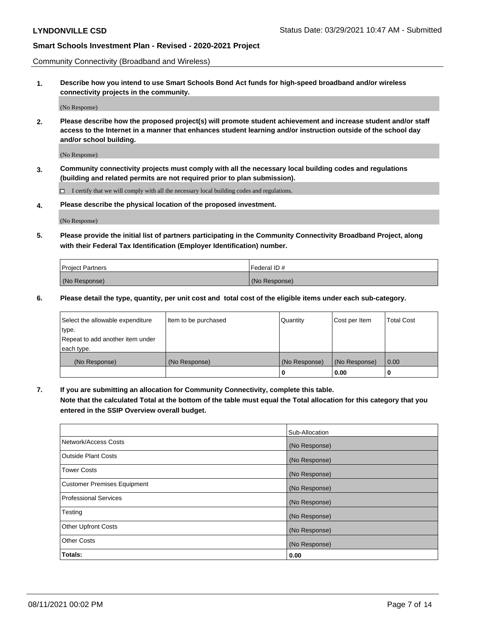Community Connectivity (Broadband and Wireless)

**1. Describe how you intend to use Smart Schools Bond Act funds for high-speed broadband and/or wireless connectivity projects in the community.**

(No Response)

**2. Please describe how the proposed project(s) will promote student achievement and increase student and/or staff access to the Internet in a manner that enhances student learning and/or instruction outside of the school day and/or school building.**

(No Response)

**3. Community connectivity projects must comply with all the necessary local building codes and regulations (building and related permits are not required prior to plan submission).**

 $\Box$  I certify that we will comply with all the necessary local building codes and regulations.

**4. Please describe the physical location of the proposed investment.**

(No Response)

**5. Please provide the initial list of partners participating in the Community Connectivity Broadband Project, along with their Federal Tax Identification (Employer Identification) number.**

| <b>Project Partners</b> | l Federal ID # |
|-------------------------|----------------|
| (No Response)           | (No Response)  |

**6. Please detail the type, quantity, per unit cost and total cost of the eligible items under each sub-category.**

| Select the allowable expenditure | Item to be purchased | Quantity      | Cost per Item | <b>Total Cost</b> |
|----------------------------------|----------------------|---------------|---------------|-------------------|
| type.                            |                      |               |               |                   |
| Repeat to add another item under |                      |               |               |                   |
| each type.                       |                      |               |               |                   |
| (No Response)                    | (No Response)        | (No Response) | (No Response) | 0.00              |
|                                  |                      | o             | 0.00          |                   |

**7. If you are submitting an allocation for Community Connectivity, complete this table.**

**Note that the calculated Total at the bottom of the table must equal the Total allocation for this category that you entered in the SSIP Overview overall budget.**

|                                    | Sub-Allocation |
|------------------------------------|----------------|
| Network/Access Costs               | (No Response)  |
| Outside Plant Costs                | (No Response)  |
| <b>Tower Costs</b>                 | (No Response)  |
| <b>Customer Premises Equipment</b> | (No Response)  |
| <b>Professional Services</b>       | (No Response)  |
| Testing                            | (No Response)  |
| <b>Other Upfront Costs</b>         | (No Response)  |
| <b>Other Costs</b>                 | (No Response)  |
| Totals:                            | 0.00           |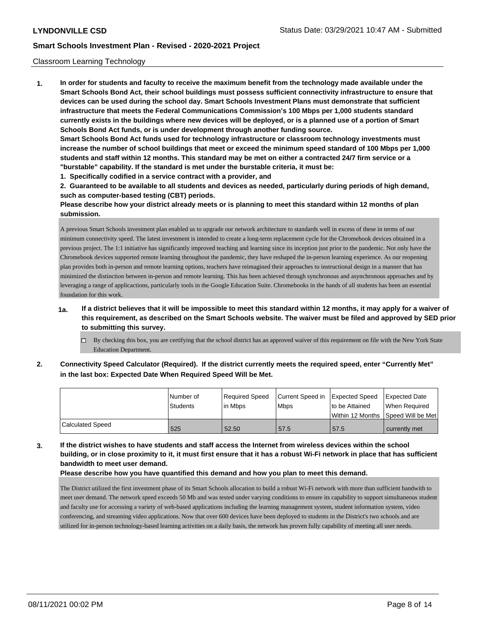## Classroom Learning Technology

**1. In order for students and faculty to receive the maximum benefit from the technology made available under the Smart Schools Bond Act, their school buildings must possess sufficient connectivity infrastructure to ensure that devices can be used during the school day. Smart Schools Investment Plans must demonstrate that sufficient infrastructure that meets the Federal Communications Commission's 100 Mbps per 1,000 students standard currently exists in the buildings where new devices will be deployed, or is a planned use of a portion of Smart Schools Bond Act funds, or is under development through another funding source. Smart Schools Bond Act funds used for technology infrastructure or classroom technology investments must increase the number of school buildings that meet or exceed the minimum speed standard of 100 Mbps per 1,000 students and staff within 12 months. This standard may be met on either a contracted 24/7 firm service or a "burstable" capability. If the standard is met under the burstable criteria, it must be:**

**1. Specifically codified in a service contract with a provider, and**

**2. Guaranteed to be available to all students and devices as needed, particularly during periods of high demand, such as computer-based testing (CBT) periods.**

**Please describe how your district already meets or is planning to meet this standard within 12 months of plan submission.**

A previous Smart Schools investment plan enabled us to upgrade our network architecture to standards well in excess of these in terms of our minimum connectivity speed. The latest investment is intended to create a long-term replacement cycle for the Chromebook devices obtained in a previous project. The 1:1 initiative has significantly improved teaching and learning since its inception just prior to the pandemic. Not only have the Chromebook devices supported remote learning throughout the pandemic, they have reshaped the in-person learning experience. As our reopening plan provides both in-person and remote learning options, teachers have reimagined their approaches to instructional design in a manner that has minimized the distinction between in-person and remote learning. This has been achieved through synchronous and asynchronous approaches and by leveraging a range of applicactions, particularly tools in the Google Education Suite. Chromebooks in the hands of all students has been an essential foundation for this work.

- **1a. If a district believes that it will be impossible to meet this standard within 12 months, it may apply for a waiver of this requirement, as described on the Smart Schools website. The waiver must be filed and approved by SED prior to submitting this survey.**
	- By checking this box, you are certifying that the school district has an approved waiver of this requirement on file with the New York State Education Department.
- **2. Connectivity Speed Calculator (Required). If the district currently meets the required speed, enter "Currently Met" in the last box: Expected Date When Required Speed Will be Met.**

|                  | l Number of<br><b>Students</b> | Required Speed<br>l in Mbps | Current Speed in Expected Speed<br><b>Mbps</b> | to be Attained | <b>Expected Date</b><br>When Required<br>Within 12 Months Speed Will be Met |
|------------------|--------------------------------|-----------------------------|------------------------------------------------|----------------|-----------------------------------------------------------------------------|
| Calculated Speed | 525                            | 52.50                       | 57.5                                           | 57.5           | currently met                                                               |

**3. If the district wishes to have students and staff access the Internet from wireless devices within the school building, or in close proximity to it, it must first ensure that it has a robust Wi-Fi network in place that has sufficient bandwidth to meet user demand.**

## **Please describe how you have quantified this demand and how you plan to meet this demand.**

The District utilized the first investment phase of its Smart Schools allocation to build a robust Wi-Fi network with more than sufficient bandwith to meet user demand. The network speed exceeds 50 Mb and was tested under varying conditions to ensure its capability to support simultaneous student and faculty use for accessing a variety of web-based applications including the learning management system, student information system, video conferencing, and streaming video applications. Now that over 600 devices have been deployed to students in the District's two schools and are utilized for in-person technology-based learning activities on a daily basis, the network has proven fully capability of meeting all user needs.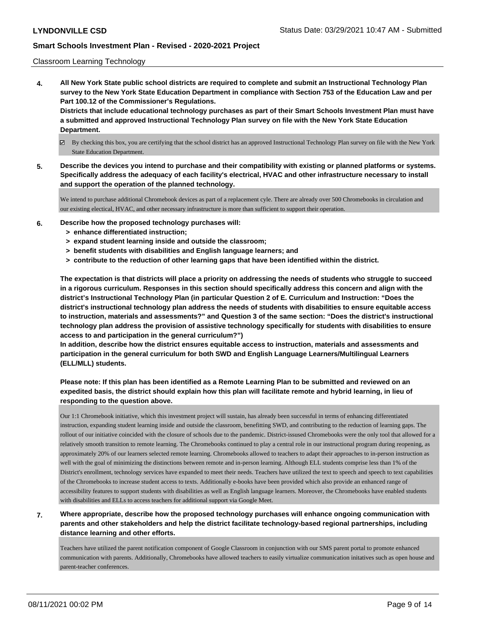### Classroom Learning Technology

**4. All New York State public school districts are required to complete and submit an Instructional Technology Plan survey to the New York State Education Department in compliance with Section 753 of the Education Law and per Part 100.12 of the Commissioner's Regulations. Districts that include educational technology purchases as part of their Smart Schools Investment Plan must have**

**a submitted and approved Instructional Technology Plan survey on file with the New York State Education Department.**

- By checking this box, you are certifying that the school district has an approved Instructional Technology Plan survey on file with the New York State Education Department.
- **5. Describe the devices you intend to purchase and their compatibility with existing or planned platforms or systems. Specifically address the adequacy of each facility's electrical, HVAC and other infrastructure necessary to install and support the operation of the planned technology.**

We intend to purchase additional Chromebook devices as part of a replacement cyle. There are already over 500 Chromebooks in circulation and our existing electical, HVAC, and other necessary infrastructure is more than sufficient to support their operation.

- **6. Describe how the proposed technology purchases will:**
	- **> enhance differentiated instruction;**
	- **> expand student learning inside and outside the classroom;**
	- **> benefit students with disabilities and English language learners; and**
	- **> contribute to the reduction of other learning gaps that have been identified within the district.**

**The expectation is that districts will place a priority on addressing the needs of students who struggle to succeed in a rigorous curriculum. Responses in this section should specifically address this concern and align with the district's Instructional Technology Plan (in particular Question 2 of E. Curriculum and Instruction: "Does the district's instructional technology plan address the needs of students with disabilities to ensure equitable access to instruction, materials and assessments?" and Question 3 of the same section: "Does the district's instructional technology plan address the provision of assistive technology specifically for students with disabilities to ensure access to and participation in the general curriculum?")**

**In addition, describe how the district ensures equitable access to instruction, materials and assessments and participation in the general curriculum for both SWD and English Language Learners/Multilingual Learners (ELL/MLL) students.**

# **Please note: If this plan has been identified as a Remote Learning Plan to be submitted and reviewed on an expedited basis, the district should explain how this plan will facilitate remote and hybrid learning, in lieu of responding to the question above.**

Our 1:1 Chromebook initiative, which this investment project will sustain, has already been successful in terms of enhancing differentiated instruction, expanding student learning inside and outside the classroom, benefitting SWD, and contributing to the reduction of learning gaps. The rollout of our initiative coincided with the closure of schools due to the pandemic. District-issused Chromebooks were the only tool that allowed for a relatively smooth transition to remote learning. The Chromebooks continued to play a central role in our instructional program during reopening, as approximately 20% of our learners selected remote learning. Chromebooks allowed to teachers to adapt their approaches to in-person instruction as well with the goal of minimizing the distinctions between remote and in-person learning. Although ELL students comprise less than 1% of the District's enrollment, technology services have expanded to meet their needs. Teachers have utilized the text to speech and speech to text capabilities of the Chromebooks to increase student access to texts. Additionally e-books have been provided which also provide an enhanced range of accessibility features to support students with disabilities as well as English language learners. Moreover, the Chromebooks have enabled students with disabilities and ELLs to access teachers for additional support via Google Meet.

## **7. Where appropriate, describe how the proposed technology purchases will enhance ongoing communication with parents and other stakeholders and help the district facilitate technology-based regional partnerships, including distance learning and other efforts.**

Teachers have utilized the parent notification component of Google Classroom in conjunction with our SMS parent portal to promote enhanced communication with parents. Additionally, Chromebooks have allowed teachers to easily virtualize communication initatives such as open house and parent-teacher conferences.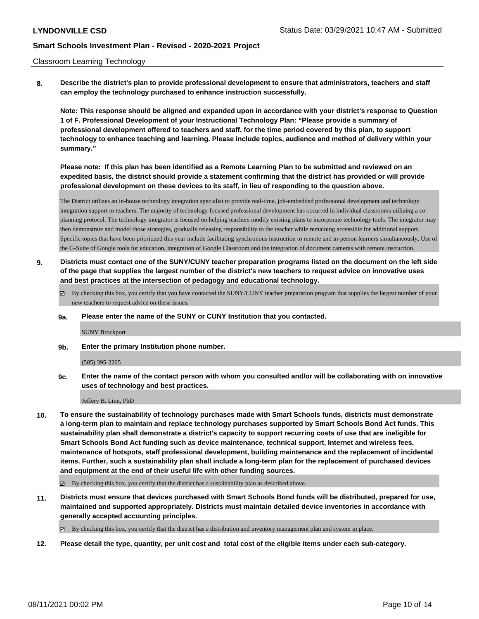### Classroom Learning Technology

**8. Describe the district's plan to provide professional development to ensure that administrators, teachers and staff can employ the technology purchased to enhance instruction successfully.**

**Note: This response should be aligned and expanded upon in accordance with your district's response to Question 1 of F. Professional Development of your Instructional Technology Plan: "Please provide a summary of professional development offered to teachers and staff, for the time period covered by this plan, to support technology to enhance teaching and learning. Please include topics, audience and method of delivery within your summary."**

**Please note: If this plan has been identified as a Remote Learning Plan to be submitted and reviewed on an expedited basis, the district should provide a statement confirming that the district has provided or will provide professional development on these devices to its staff, in lieu of responding to the question above.**

The District utilizes an in-house technology integration specialist to provide real-time, job-embedded professional development and technology integration support to teachers. The majority of technology focused professional development has occurred in individual classrooms utilizing a coplanning protocol. The technology integrator is focused on helping teachers modify existing plans to incorporate technology tools. The integrator may then demonstrate and model those strategies, gradually releasing responsibility to the teacher while remaining accessible for additional support. Specific topics that have been prioritized this year include facilitating synchronous instruction to remote and in-person learners simultaneously, Use of the G-Suite of Google tools for education, integration of Google Classroom and the integration of document cameras with remote instruction.

- **9. Districts must contact one of the SUNY/CUNY teacher preparation programs listed on the document on the left side of the page that supplies the largest number of the district's new teachers to request advice on innovative uses and best practices at the intersection of pedagogy and educational technology.**
	- $\boxtimes$  By checking this box, you certify that you have contacted the SUNY/CUNY teacher preparation program that supplies the largest number of your new teachers to request advice on these issues.
	- **9a. Please enter the name of the SUNY or CUNY Institution that you contacted.**

#### SUNY Brockport

**9b. Enter the primary Institution phone number.**

#### (585) 395-2205

**9c. Enter the name of the contact person with whom you consulted and/or will be collaborating with on innovative uses of technology and best practices.**

Jeffery B. Linn, PhD

**10. To ensure the sustainability of technology purchases made with Smart Schools funds, districts must demonstrate a long-term plan to maintain and replace technology purchases supported by Smart Schools Bond Act funds. This sustainability plan shall demonstrate a district's capacity to support recurring costs of use that are ineligible for Smart Schools Bond Act funding such as device maintenance, technical support, Internet and wireless fees, maintenance of hotspots, staff professional development, building maintenance and the replacement of incidental items. Further, such a sustainability plan shall include a long-term plan for the replacement of purchased devices and equipment at the end of their useful life with other funding sources.**

 $\boxtimes$  By checking this box, you certify that the district has a sustainability plan as described above.

**11. Districts must ensure that devices purchased with Smart Schools Bond funds will be distributed, prepared for use, maintained and supported appropriately. Districts must maintain detailed device inventories in accordance with generally accepted accounting principles.**

By checking this box, you certify that the district has a distribution and inventory management plan and system in place.

**12. Please detail the type, quantity, per unit cost and total cost of the eligible items under each sub-category.**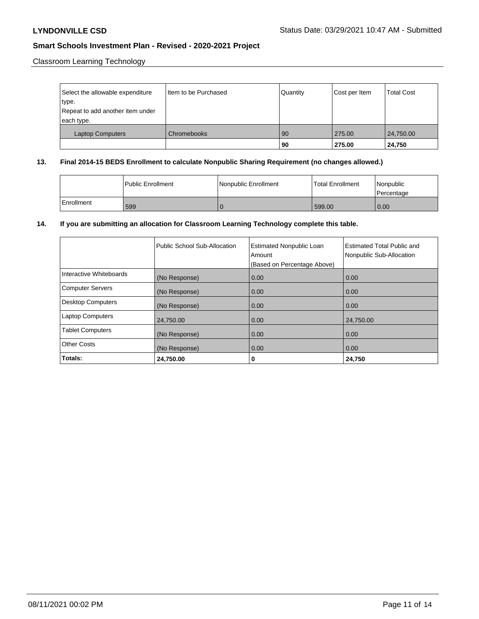Classroom Learning Technology

| Select the allowable expenditure<br>type.<br>Repeat to add another item under<br>each type. | Item to be Purchased | Quantity | Cost per Item    | <b>Total Cost</b>   |
|---------------------------------------------------------------------------------------------|----------------------|----------|------------------|---------------------|
| Laptop Computers                                                                            | Chromebooks          | 90<br>90 | 275.00<br>275.00 | 24,750.00<br>24,750 |

## **13. Final 2014-15 BEDS Enrollment to calculate Nonpublic Sharing Requirement (no changes allowed.)**

|            | <b>Public Enrollment</b> | Nonpublic Enrollment | <b>Total Enrollment</b> | Nonpublic<br>l Percentage |
|------------|--------------------------|----------------------|-------------------------|---------------------------|
| Enrollment | 599                      |                      | 599.00                  | 0.00                      |

# **14. If you are submitting an allocation for Classroom Learning Technology complete this table.**

|                          | Public School Sub-Allocation | <b>Estimated Nonpublic Loan</b><br>Amount<br>(Based on Percentage Above) | <b>Estimated Total Public and</b><br>Nonpublic Sub-Allocation |
|--------------------------|------------------------------|--------------------------------------------------------------------------|---------------------------------------------------------------|
| Interactive Whiteboards  | (No Response)                | 0.00                                                                     | 0.00                                                          |
| <b>Computer Servers</b>  | (No Response)                | 0.00                                                                     | 0.00                                                          |
| <b>Desktop Computers</b> | (No Response)                | 0.00                                                                     | 0.00                                                          |
| <b>Laptop Computers</b>  | 24,750.00                    | 0.00                                                                     | 24,750.00                                                     |
| <b>Tablet Computers</b>  | (No Response)                | 0.00                                                                     | 0.00                                                          |
| Other Costs              | (No Response)                | 0.00                                                                     | 0.00                                                          |
| Totals:                  | 24,750.00                    | 0                                                                        | 24,750                                                        |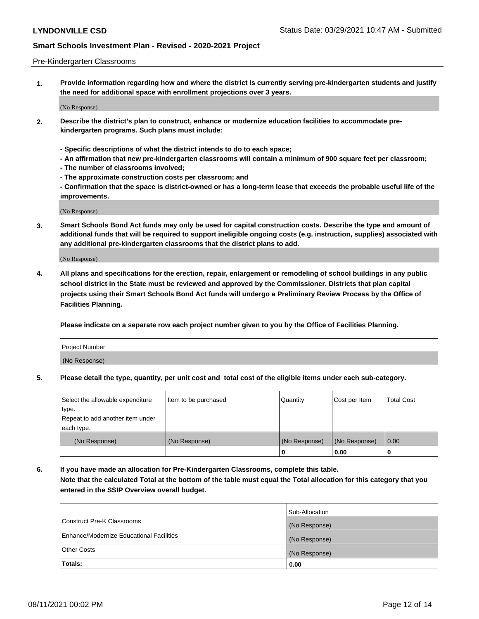### Pre-Kindergarten Classrooms

**1. Provide information regarding how and where the district is currently serving pre-kindergarten students and justify the need for additional space with enrollment projections over 3 years.**

(No Response)

- **2. Describe the district's plan to construct, enhance or modernize education facilities to accommodate prekindergarten programs. Such plans must include:**
	- **Specific descriptions of what the district intends to do to each space;**
	- **An affirmation that new pre-kindergarten classrooms will contain a minimum of 900 square feet per classroom;**
	- **The number of classrooms involved;**
	- **The approximate construction costs per classroom; and**
	- **Confirmation that the space is district-owned or has a long-term lease that exceeds the probable useful life of the improvements.**

(No Response)

**3. Smart Schools Bond Act funds may only be used for capital construction costs. Describe the type and amount of additional funds that will be required to support ineligible ongoing costs (e.g. instruction, supplies) associated with any additional pre-kindergarten classrooms that the district plans to add.**

(No Response)

**4. All plans and specifications for the erection, repair, enlargement or remodeling of school buildings in any public school district in the State must be reviewed and approved by the Commissioner. Districts that plan capital projects using their Smart Schools Bond Act funds will undergo a Preliminary Review Process by the Office of Facilities Planning.**

**Please indicate on a separate row each project number given to you by the Office of Facilities Planning.**

| Project Number |  |
|----------------|--|
| (No Response)  |  |
|                |  |

**5. Please detail the type, quantity, per unit cost and total cost of the eligible items under each sub-category.**

| Select the allowable expenditure | Item to be purchased | Quantity      | Cost per Item | <b>Total Cost</b> |
|----------------------------------|----------------------|---------------|---------------|-------------------|
| type.                            |                      |               |               |                   |
| Repeat to add another item under |                      |               |               |                   |
| each type.                       |                      |               |               |                   |
| (No Response)                    | (No Response)        | (No Response) | (No Response) | 0.00              |
|                                  |                      | U             | 0.00          |                   |

**6. If you have made an allocation for Pre-Kindergarten Classrooms, complete this table. Note that the calculated Total at the bottom of the table must equal the Total allocation for this category that you entered in the SSIP Overview overall budget.**

|                                          | Sub-Allocation |
|------------------------------------------|----------------|
| Construct Pre-K Classrooms               | (No Response)  |
| Enhance/Modernize Educational Facilities | (No Response)  |
| <b>Other Costs</b>                       | (No Response)  |
| Totals:                                  | 0.00           |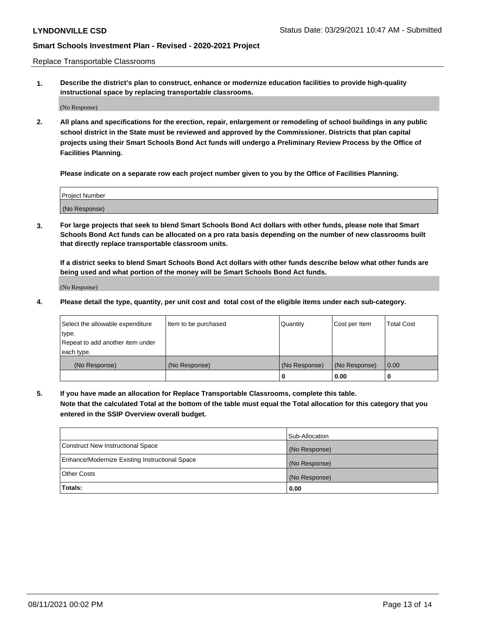Replace Transportable Classrooms

**1. Describe the district's plan to construct, enhance or modernize education facilities to provide high-quality instructional space by replacing transportable classrooms.**

(No Response)

**2. All plans and specifications for the erection, repair, enlargement or remodeling of school buildings in any public school district in the State must be reviewed and approved by the Commissioner. Districts that plan capital projects using their Smart Schools Bond Act funds will undergo a Preliminary Review Process by the Office of Facilities Planning.**

**Please indicate on a separate row each project number given to you by the Office of Facilities Planning.**

| Project Number |  |
|----------------|--|
|                |  |
|                |  |
|                |  |
|                |  |
| (No Response)  |  |
|                |  |
|                |  |
|                |  |

**3. For large projects that seek to blend Smart Schools Bond Act dollars with other funds, please note that Smart Schools Bond Act funds can be allocated on a pro rata basis depending on the number of new classrooms built that directly replace transportable classroom units.**

**If a district seeks to blend Smart Schools Bond Act dollars with other funds describe below what other funds are being used and what portion of the money will be Smart Schools Bond Act funds.**

(No Response)

**4. Please detail the type, quantity, per unit cost and total cost of the eligible items under each sub-category.**

| Select the allowable expenditure | Item to be purchased | Quantity      | Cost per Item | Total Cost |
|----------------------------------|----------------------|---------------|---------------|------------|
| ∣type.                           |                      |               |               |            |
| Repeat to add another item under |                      |               |               |            |
| each type.                       |                      |               |               |            |
| (No Response)                    | (No Response)        | (No Response) | (No Response) | 0.00       |
|                                  |                      | u             | 0.00          |            |

**5. If you have made an allocation for Replace Transportable Classrooms, complete this table. Note that the calculated Total at the bottom of the table must equal the Total allocation for this category that you entered in the SSIP Overview overall budget.**

|                                                | Sub-Allocation |
|------------------------------------------------|----------------|
| Construct New Instructional Space              | (No Response)  |
| Enhance/Modernize Existing Instructional Space | (No Response)  |
| Other Costs                                    | (No Response)  |
| Totals:                                        | 0.00           |